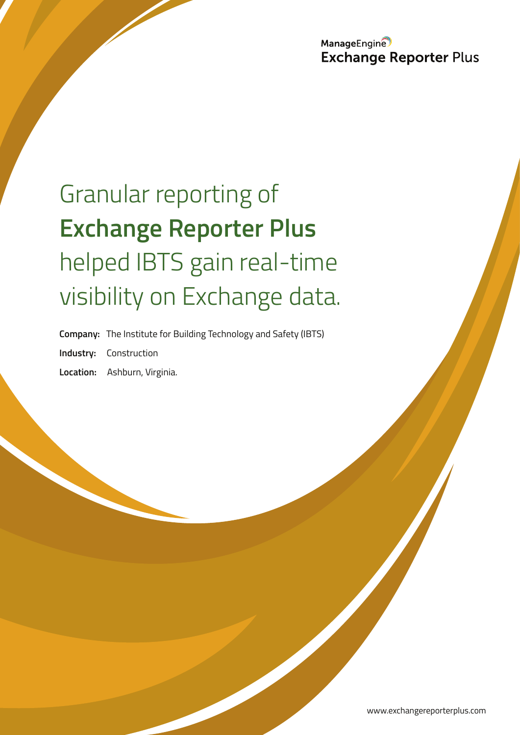ManageEngine **Exchange Reporter Plus** 

# Granular reporting of **Exchange Reporter Plus** helped IBTS gain real-time visibility on Exchange data.

**Company:** The Institute for Building Technology and Safety (IBTS) **Industry:** Construction **Location:** Ashburn, Virginia.

www.exchangereporterplus.com